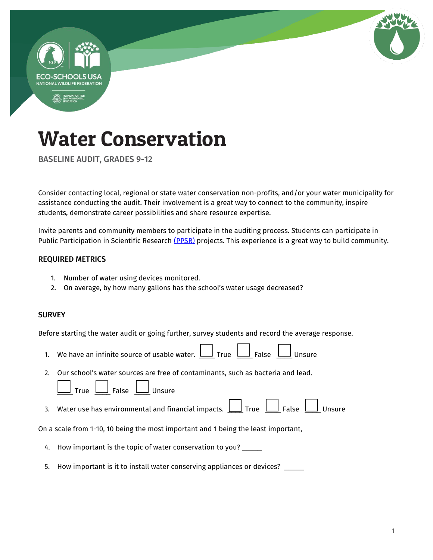

BASELINE AUDIT, GRADES 9-12

Consider contacting local, regional or state water conservation non-profits, and/or your water municipality for assistance conducting the audit. Their involvement is a great way to connect to the community, inspire students, demonstrate career possibilities and share resource expertise.

Invite parents and community members to participate in the auditing process. Students can participate in Public Participation in Scientific Research [\(PPSR\)](https://en.wikipedia.org/wiki/Citizen_science) projects. This experience is a great way to build community.

### REQUIRED METRICS

- 1. Number of water using devices monitored.
- 2. On average, by how many gallons has the school's water usage decreased?

### **SURVEY**

Before starting the water audit or going further, survey students and record the average response.

- 1. We have an infinite source of usable water.  $\Box$  True  $\Box$  False  $\Box$  Unsure
- 2. Our school's water sources are free of contaminants, such as bacteria and lead.

| True | False | Unsure |
|------|-------|--------|
|------|-------|--------|

 $\Box$ ┑ Г

┑

3. Water use has environmental and financial impacts.  $\boxed{\underline{\hspace{1cm}}\phantom{\underline{\hspace{1cm}}} }$  True  $\boxed{\phantom{\underline{\hspace{1cm}}} }$  False  $\boxed{\phantom{\underline{\hspace{1cm}}} }$  Unsure

On a scale from 1-10, 10 being the most important and 1 being the least important,

- 4. How important is the topic of water conservation to you? \_\_\_\_\_
- 5. How important is it to install water conserving appliances or devices? \_\_\_\_\_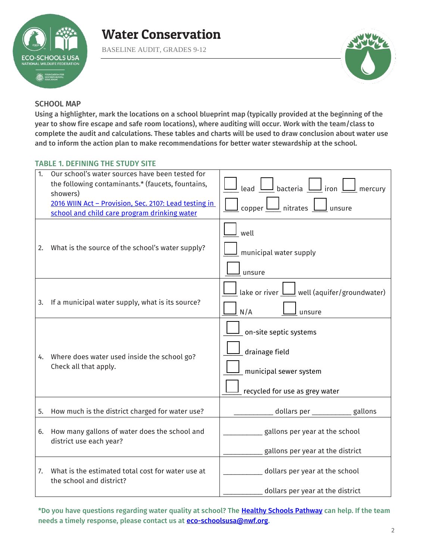

BASELINE AUDIT, GRADES 9-12



### SCHOOL MAP

Using a highlighter, mark the locations on a school blueprint map (typically provided at the beginning of the year to show fire escape and safe room locations), where auditing will occur. Work with the team/class to complete the audit and calculations. These tables and charts will be used to draw conclusion about water use and to inform the action plan to make recommendations for better water stewardship at the school.

### TABLE 1. DEFINING THE STUDY SITE

| 1. | Our school's water sources have been tested for<br>the following contaminants.* (faucets, fountains,<br>showers)<br>2016 WIIN Act - Provision, Sec. 2107: Lead testing in<br>school and child care program drinking water | $\underline{\mathsf{I}}$ lead $\underline{\mathsf{I}}$ bacteria $\underline{\mathsf{I}}$ iron $\underline{\mathsf{I}}$ mercury<br>$\lfloor$ copper $\bigsqcup$ nitrates $\bigsqcup$ unsure |
|----|---------------------------------------------------------------------------------------------------------------------------------------------------------------------------------------------------------------------------|--------------------------------------------------------------------------------------------------------------------------------------------------------------------------------------------|
| 2. | What is the source of the school's water supply?                                                                                                                                                                          | well<br>municipal water supply<br>unsure                                                                                                                                                   |
| 3. | If a municipal water supply, what is its source?                                                                                                                                                                          | $\perp$ lake or river $\perp$ well (aquifer/groundwater)<br>N/A<br>unsure                                                                                                                  |
| 4. | Where does water used inside the school go?<br>Check all that apply.                                                                                                                                                      | on-site septic systems<br>drainage field<br>municipal sewer system<br>recycled for use as grey water                                                                                       |
| 5. | How much is the district charged for water use?                                                                                                                                                                           | dollars per ____________ gallons                                                                                                                                                           |
| 6. | How many gallons of water does the school and<br>district use each year?                                                                                                                                                  | gallons per year at the school<br>gallons per year at the district                                                                                                                         |
| 7. | What is the estimated total cost for water use at<br>the school and district?                                                                                                                                             | dollars per year at the school                                                                                                                                                             |
|    |                                                                                                                                                                                                                           | dollars per year at the district                                                                                                                                                           |

\*Do you have questions regarding water quality at school? The [Healthy Schools Pathway c](https://www.nwf.org/Eco-Schools-USA/Pathways/Healthy-Schools)an help. If the team needs a timely response, please contact us at **eco-schoolsusa@nwf.org**.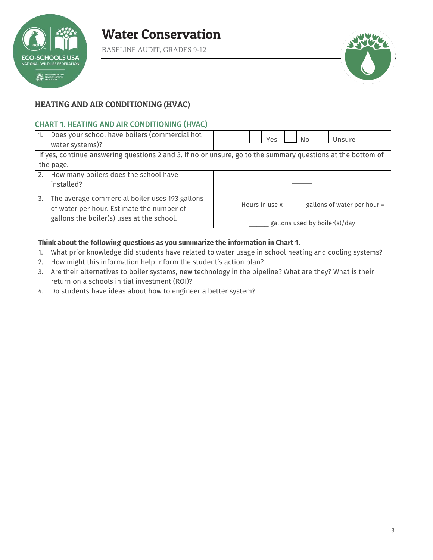

BASELINE AUDIT, GRADES 9-12



### HEATING AND AIR CONDITIONING (HVAC)

### CHART 1. HEATING AND AIR CONDITIONING (HVAC)

| $\mathbf{1}$ . | Does your school have boilers (commercial hot<br>water systems)?                                                                         | No<br><b>Yes</b><br>Unsure                                                                                  |  |  |  |  |  |  |  |  |
|----------------|------------------------------------------------------------------------------------------------------------------------------------------|-------------------------------------------------------------------------------------------------------------|--|--|--|--|--|--|--|--|
|                | the page.                                                                                                                                | If yes, continue answering questions 2 and 3. If no or unsure, go to the summary questions at the bottom of |  |  |  |  |  |  |  |  |
| 2.             | How many boilers does the school have<br>installed?                                                                                      |                                                                                                             |  |  |  |  |  |  |  |  |
| 3.             | The average commercial boiler uses 193 gallons<br>of water per hour. Estimate the number of<br>gallons the boiler(s) uses at the school. | Hours in use x ______ gallons of water per hour =<br>gallons used by boiler(s)/day                          |  |  |  |  |  |  |  |  |

### **Think about the following questions as you summarize the information in Chart 1.**

- 1. What prior knowledge did students have related to water usage in school heating and cooling systems?
- 2. How might this information help inform the student's action plan?
- 3. Are their alternatives to boiler systems, new technology in the pipeline? What are they? What is their return on a schools initial investment (ROI)?
- 4. Do students have ideas about how to engineer a better system?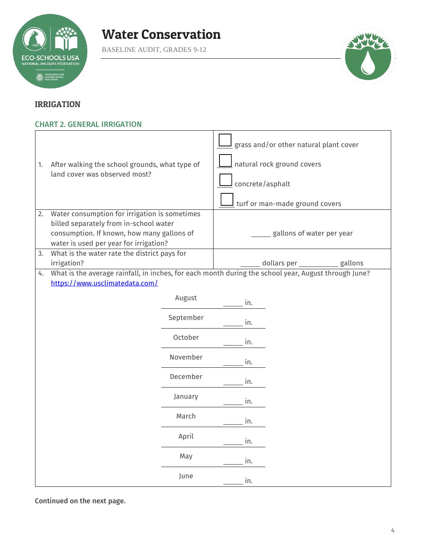

BASELINE AUDIT, GRADES 9-12



### IRRIGATION

### CHART 2. GENERAL IRRIGATION

| 1.<br>2. | After walking the school grounds, what type of<br>land cover was observed most?<br>Water consumption for irrigation is sometimes |           | grass and/or other natural plant cover<br>natural rock ground covers<br>concrete/asphalt<br>turf or man-made ground covers                 |                           |  |  |  |  |  |  |  |
|----------|----------------------------------------------------------------------------------------------------------------------------------|-----------|--------------------------------------------------------------------------------------------------------------------------------------------|---------------------------|--|--|--|--|--|--|--|
|          | billed separately from in-school water                                                                                           |           |                                                                                                                                            |                           |  |  |  |  |  |  |  |
|          | consumption. If known, how many gallons of<br>water is used per year for irrigation?                                             |           |                                                                                                                                            | gallons of water per year |  |  |  |  |  |  |  |
| 3.       | What is the water rate the district pays for                                                                                     |           |                                                                                                                                            |                           |  |  |  |  |  |  |  |
| 4.       | irrigation?                                                                                                                      |           | dollars per ___________<br>gallons<br>What is the average rainfall, in inches, for each month during the school year, August through June? |                           |  |  |  |  |  |  |  |
|          | https://www.usclimatedata.com/                                                                                                   |           |                                                                                                                                            |                           |  |  |  |  |  |  |  |
|          |                                                                                                                                  | August    | in.                                                                                                                                        |                           |  |  |  |  |  |  |  |
|          |                                                                                                                                  | September | in.                                                                                                                                        |                           |  |  |  |  |  |  |  |
|          |                                                                                                                                  | October   | in.                                                                                                                                        |                           |  |  |  |  |  |  |  |
|          |                                                                                                                                  | November  | in.                                                                                                                                        |                           |  |  |  |  |  |  |  |
|          |                                                                                                                                  | December  | in.                                                                                                                                        |                           |  |  |  |  |  |  |  |
|          |                                                                                                                                  | January   | in.                                                                                                                                        |                           |  |  |  |  |  |  |  |
|          |                                                                                                                                  | March     | in.                                                                                                                                        |                           |  |  |  |  |  |  |  |
|          |                                                                                                                                  | April     | in.                                                                                                                                        |                           |  |  |  |  |  |  |  |
|          |                                                                                                                                  | May       | in.                                                                                                                                        |                           |  |  |  |  |  |  |  |
|          |                                                                                                                                  | June      | in.                                                                                                                                        |                           |  |  |  |  |  |  |  |

Continued on the next page.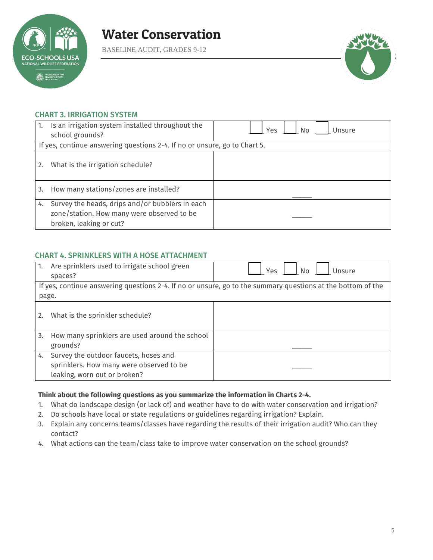

BASELINE AUDIT, GRADES 9-12



### CHART 3. IRRIGATION SYSTEM

| 1. | Is an irrigation system installed throughout the<br>school grounds?                                                      | Yes<br>No<br>Unsure |
|----|--------------------------------------------------------------------------------------------------------------------------|---------------------|
|    |                                                                                                                          |                     |
|    | If yes, continue answering questions 2-4. If no or unsure, go to Chart 5.                                                |                     |
| 2. | What is the irrigation schedule?                                                                                         |                     |
| 3. | How many stations/zones are installed?                                                                                   |                     |
| 4. | Survey the heads, drips and/or bubblers in each<br>zone/station. How many were observed to be<br>broken, leaking or cut? |                     |

### CHART 4. SPRINKLERS WITH A HOSE ATTACHMENT

| 1.    | Are sprinklers used to irrigate school green<br>spaces? | Yes<br>N <sub>o</sub><br>Unsure                                                                             |
|-------|---------------------------------------------------------|-------------------------------------------------------------------------------------------------------------|
|       |                                                         | If yes, continue answering questions 2-4. If no or unsure, go to the summary questions at the bottom of the |
| page. |                                                         |                                                                                                             |
| 2.    | What is the sprinkler schedule?                         |                                                                                                             |
| 3.    | How many sprinklers are used around the school          |                                                                                                             |
|       | grounds?                                                |                                                                                                             |
| 4.    | Survey the outdoor faucets, hoses and                   |                                                                                                             |
|       | sprinklers. How many were observed to be                |                                                                                                             |
|       | leaking, worn out or broken?                            |                                                                                                             |

#### **Think about the following questions as you summarize the information in Charts 2-4.**

- 1. What do landscape design (or lack of) and weather have to do with water conservation and irrigation?
- 2. Do schools have local or state regulations or guidelines regarding irrigation? Explain.
- 3. Explain any concerns teams/classes have regarding the results of their irrigation audit? Who can they contact?
- 4. What actions can the team/class take to improve water conservation on the school grounds?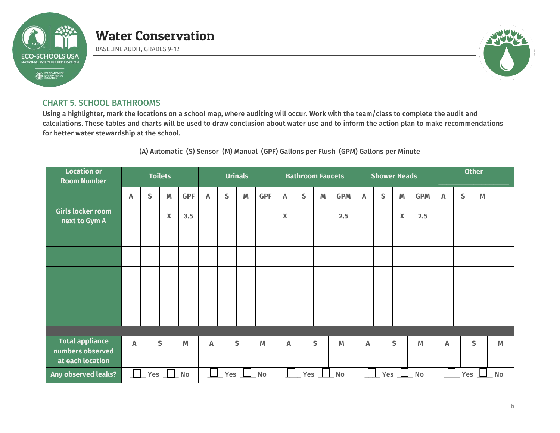

BASELINE AUDIT, GRADES 9-12



### CHART 5. SCHOOL BATHROOMS

Using a highlighter, mark the locations on a school map, where auditing will occur. Work with the team/class to complete the audit and calculations. These tables and charts will be used to draw conclusion about water use and to inform the action plan to make recommendations for better water stewardship at the school.

### (A) Automatic (S) Sensor (M) Manual (GPF) Gallons per Flush (GPM) Gallons per Minute

| <b>Location or</b><br><b>Room Number</b>   | <b>Toilets</b> |   |              |            |                                                    |   | <b>Urinals</b> |            |                           | <b>Bathroom Faucets</b> |             |              |   |              | <b>Shower Heads</b> |                                  | <b>Other</b> |   |              |                                                                                       |  |
|--------------------------------------------|----------------|---|--------------|------------|----------------------------------------------------|---|----------------|------------|---------------------------|-------------------------|-------------|--------------|---|--------------|---------------------|----------------------------------|--------------|---|--------------|---------------------------------------------------------------------------------------|--|
|                                            | A              | S | M            | <b>GPF</b> | Α                                                  | S | M              | <b>GPF</b> | $\boldsymbol{\mathsf{A}}$ | S                       | $\mathbb M$ | <b>GPM</b>   | A | $\mathsf{S}$ | M                   | <b>GPM</b>                       | A            | S | M            |                                                                                       |  |
| Girls locker room<br>next to Gym A         |                |   | X            | 3.5        |                                                    |   |                |            | $\pmb{\mathsf{X}}$        |                         |             | 2.5          |   |              | $\pmb{\mathsf{X}}$  | 2.5                              |              |   |              |                                                                                       |  |
|                                            |                |   |              |            |                                                    |   |                |            |                           |                         |             |              |   |              |                     |                                  |              |   |              |                                                                                       |  |
|                                            |                |   |              |            |                                                    |   |                |            |                           |                         |             |              |   |              |                     |                                  |              |   |              |                                                                                       |  |
|                                            |                |   |              |            |                                                    |   |                |            |                           |                         |             |              |   |              |                     |                                  |              |   |              |                                                                                       |  |
|                                            |                |   |              |            |                                                    |   |                |            |                           |                         |             |              |   |              |                     |                                  |              |   |              |                                                                                       |  |
|                                            |                |   |              |            |                                                    |   |                |            |                           |                         |             |              |   |              |                     |                                  |              |   |              |                                                                                       |  |
|                                            |                |   |              |            |                                                    |   |                |            |                           |                         |             |              |   |              |                     |                                  |              |   |              |                                                                                       |  |
| <b>Total appliance</b><br>numbers observed | A              |   | $\mathsf{S}$ | M          | A                                                  |   | $\mathsf{S}$   | M          | Α                         |                         | S           | M            | A |              | $\mathsf{S}$        | M                                | A            |   | $\mathsf{S}$ | $\mathsf{M}% _{T}=\mathsf{M}_{T}\!\left( a,b\right) ,\ \mathsf{M}_{T}=\mathsf{M}_{T}$ |  |
| at each location                           |                |   |              |            |                                                    |   |                |            |                           |                         |             |              |   |              |                     |                                  |              |   |              |                                                                                       |  |
| <b>Any observed leaks?</b>                 | Yes<br>No      |   |              |            | $\begin{array}{c} \hline \end{array}$<br>Yes<br>No |   |                |            | Yes<br><b>No</b>          |                         |             | $\mathbf{L}$ |   | $Yes$ $\Box$ | No                  | $\mathsf{L}$<br>Yes<br><b>No</b> |              |   |              |                                                                                       |  |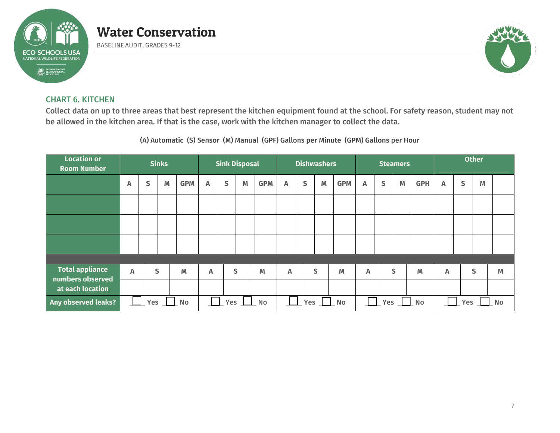

BASELINE AUDIT, GRADES 9-12



### CHART 6. KITCHEN

Collect data on up to three areas that best represent the kitchen equipment found at the school. For safety reason, student may not be allowed in the kitchen area. If that is the case, work with the kitchen manager to collect the data.

(A) Automatic (S) Sensor (M) Manual (GPF) Gallons per Minute (GPM) Gallons per Hour

| <b>Location or</b><br><b>Room Number</b>   |   |     | <b>Sinks</b> |            |                           | <b>Sink Disposal</b> |              |            |           |   | <b>Dishwashers</b> |            |              |   | <b>Steamers</b> |                         | <b>Other</b> |   |              |   |  |
|--------------------------------------------|---|-----|--------------|------------|---------------------------|----------------------|--------------|------------|-----------|---|--------------------|------------|--------------|---|-----------------|-------------------------|--------------|---|--------------|---|--|
|                                            | Α | S   | M            | <b>GPM</b> | A                         | S                    | M            | <b>GPM</b> | A         | S | M                  | <b>GPM</b> | A            | S | M               | <b>GPH</b>              | A            | S | M            |   |  |
|                                            |   |     |              |            |                           |                      |              |            |           |   |                    |            |              |   |                 |                         |              |   |              |   |  |
|                                            |   |     |              |            |                           |                      |              |            |           |   |                    |            |              |   |                 |                         |              |   |              |   |  |
|                                            |   |     |              |            |                           |                      |              |            |           |   |                    |            |              |   |                 |                         |              |   |              |   |  |
|                                            |   |     |              |            |                           |                      |              |            |           |   |                    |            |              |   |                 |                         |              |   |              |   |  |
| <b>Total appliance</b><br>numbers observed | A |     | S            | M          | $\boldsymbol{\mathsf{A}}$ |                      | $\mathsf{S}$ | M          | A         |   | S                  | M          | $\mathsf{A}$ |   | S               | M                       | A            |   | $\mathsf{S}$ | M |  |
| at each location                           |   |     |              |            |                           |                      |              |            |           |   |                    |            |              |   |                 |                         |              |   |              |   |  |
| Any observed leaks?                        |   | Yes |              | No         | Yes<br>No                 |                      |              |            | No<br>Yes |   |                    | Yes<br>No  |              |   |                 | <b>No</b><br><b>Yes</b> |              |   |              |   |  |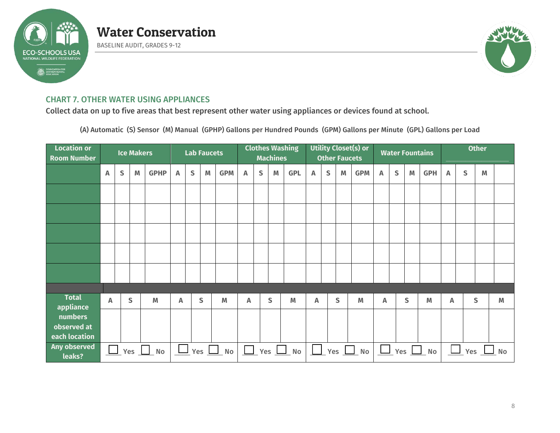

BASELINE AUDIT, GRADES 9-12



### CHART 7. OTHER WATER USING APPLIANCES

Collect data on up to five areas that best represent other water using appliances or devices found at school.

(A) Automatic (S) Sensor (M) Manual (GPHP) Gallons per Hundred Pounds (GPM) Gallons per Minute (GPL) Gallons per Load

| <b>Location or</b><br><b>Room Number</b> |                            |           | <b>Ice Makers</b> |             |                   |   | <b>Lab Faucets</b> |                                  |   |              | <b>Machines</b>                        | <b>Clothes Washing</b> |   | <b>Utility Closet(s) or</b><br><b>Other Faucets</b> |   |            |   |                                              |                                                                                       | <b>Water Fountains</b> | <b>Other</b> |   |   |   |  |
|------------------------------------------|----------------------------|-----------|-------------------|-------------|-------------------|---|--------------------|----------------------------------|---|--------------|----------------------------------------|------------------------|---|-----------------------------------------------------|---|------------|---|----------------------------------------------|---------------------------------------------------------------------------------------|------------------------|--------------|---|---|---|--|
|                                          | A                          | ${\sf S}$ | M                 | <b>GPHP</b> | Α                 | S | M                  | <b>GPM</b>                       | Α | $\mathsf{S}$ | M                                      | <b>GPL</b>             | Α | $\mathsf{S}$                                        | M | <b>GPM</b> | A | $\mathsf{S}$                                 | $\mathsf{M}% _{T}=\mathsf{M}_{T}\!\left( a,b\right) ,\ \mathsf{M}_{T}=\mathsf{M}_{T}$ | <b>GPH</b>             | A            | S | M |   |  |
|                                          |                            |           |                   |             |                   |   |                    |                                  |   |              |                                        |                        |   |                                                     |   |            |   |                                              |                                                                                       |                        |              |   |   |   |  |
|                                          |                            |           |                   |             |                   |   |                    |                                  |   |              |                                        |                        |   |                                                     |   |            |   |                                              |                                                                                       |                        |              |   |   |   |  |
|                                          |                            |           |                   |             |                   |   |                    |                                  |   |              |                                        |                        |   |                                                     |   |            |   |                                              |                                                                                       |                        |              |   |   |   |  |
|                                          |                            |           |                   |             |                   |   |                    |                                  |   |              |                                        |                        |   |                                                     |   |            |   |                                              |                                                                                       |                        |              |   |   |   |  |
|                                          |                            |           |                   |             |                   |   |                    |                                  |   |              |                                        |                        |   |                                                     |   |            |   |                                              |                                                                                       |                        |              |   |   |   |  |
|                                          |                            |           |                   |             |                   |   |                    |                                  |   |              |                                        |                        |   |                                                     |   |            |   |                                              |                                                                                       |                        |              |   |   |   |  |
| <b>Total</b><br>appliance                | A                          |           | $\mathsf{s}$      | M           | A                 |   | $\mathsf{S}$       | M                                | A |              | $\mathsf{S}$                           | M                      | A |                                                     | S | M          | Α |                                              | S                                                                                     | M                      | A            |   | S | M |  |
| numbers<br>observed at<br>each location  |                            |           |                   |             |                   |   |                    |                                  |   |              |                                        |                        |   |                                                     |   |            |   |                                              |                                                                                       |                        |              |   |   |   |  |
| Any observed<br>leaks?                   | $\Box$<br>Yes $\Box$<br>No |           |                   |             | Yes $\Box$<br>No. |   |                    | $\mathbb{R}^n$<br>$Yes \perp$ No |   |              | $\mathcal{L}(\mathcal{A})$<br>$Yes$ No |                        |   | $\Box$ Yes $\Box$ No                                |   |            |   | $\overline{\phantom{a}}$<br>Yes<br><b>No</b> |                                                                                       |                        |              |   |   |   |  |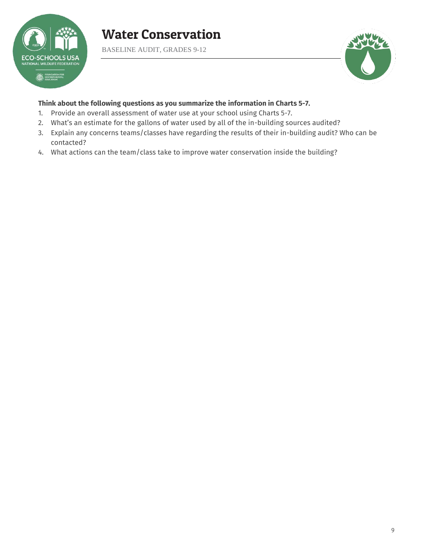

BASELINE AUDIT, GRADES 9-12



### **Think about the following questions as you summarize the information in Charts 5-7.**

- 1. Provide an overall assessment of water use at your school using Charts 5-7.
- 2. What's an estimate for the gallons of water used by all of the in-building sources audited?
- 3. Explain any concerns teams/classes have regarding the results of their in-building audit? Who can be contacted?
- 4. What actions can the team/class take to improve water conservation inside the building?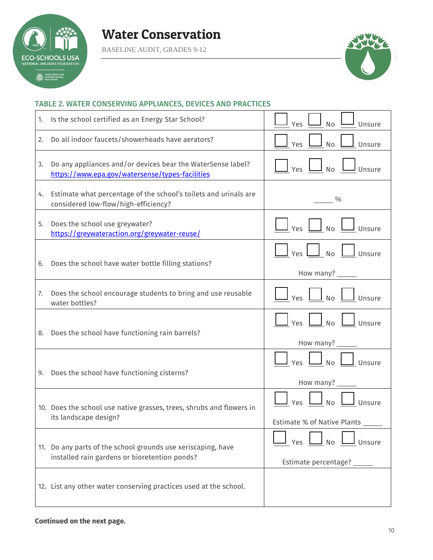

BASELINE AUDIT, GRADES 9-12



### TABLE 2. WATER CONSERVING APPLIANCES, DEVICES AND PRACTICES

| 1. | Is the school certified as an Energy Star School?                                                              | <b>No</b><br>Yes<br>Unsure                                                                                                  |
|----|----------------------------------------------------------------------------------------------------------------|-----------------------------------------------------------------------------------------------------------------------------|
| 2. | Do all indoor faucets/showerheads have aerators?                                                               | Yes<br>Unsure<br>No                                                                                                         |
| 3. | Do any appliances and/or devices bear the WaterSense label?<br>https://www.epa.gov/watersense/types-facilities | $\Box$ No $\Box$ Unsure<br>Yes                                                                                              |
| 4. | Estimate what percentage of the school's toilets and urinals are<br>considered low-flow/high-efficiency?       | $\%$                                                                                                                        |
| 5. | Does the school use greywater?<br>https://greywateraction.org/greywater-reuse/                                 | $\Box$ Yes $\Box$ No $\Box$ Unsure                                                                                          |
| 6. | Does the school have water bottle filling stations?                                                            | $\Box$ Yes $\Box$ No $\Box$ Unsure                                                                                          |
| 7. | Does the school encourage students to bring and use reusable<br>water bottles?                                 | How many? $\_\_$<br>$\Box$ Yes $\Box$ No $\Box$ Unsure                                                                      |
| 8. | Does the school have functioning rain barrels?                                                                 | $\boxed{\phantom{1}}$ Yes $\boxed{\phantom{1}}$ No $\boxed{\phantom{1}}$ Unsure<br>How many? _____                          |
| 9. | Does the school have functioning cisterns?                                                                     | $\frac{1}{\sqrt{2}}$ Yes $\frac{1}{\sqrt{2}}$ No $\frac{1}{\sqrt{2}}$ Unsure<br>How many? $\frac{1}{\sqrt{1-\frac{1}{2}}}\$ |
|    | 10. Does the school use native grasses, trees, shrubs and flowers in<br>its landscape design?                  | $\Box$ No $\Box$ Unsure<br>$\mathsf{y}_{\mathsf{es}}$<br>Estimate % of Native Plants _____                                  |
|    | 11. Do any parts of the school grounds use xeriscaping, have<br>installed rain gardens or bioretention ponds?  | Yes $\boxed{\phantom{1}}$ No $\boxed{\phantom{1}}$<br>$\underline{\perp}$ Unsure<br>Estimate percentage? _____              |
|    | 12. List any other water conserving practices used at the school.                                              |                                                                                                                             |